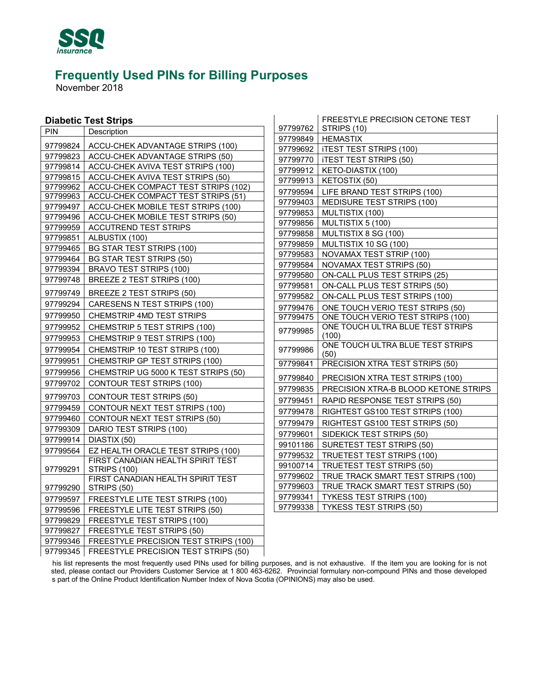

November 2018

| <b>Diabetic Test Strips</b> |  |
|-----------------------------|--|
|-----------------------------|--|

| <b>Diabetic Test Strips</b> |                      |                                                                           | FREESTYLE PRECISION CETONE TEST |                                                               |
|-----------------------------|----------------------|---------------------------------------------------------------------------|---------------------------------|---------------------------------------------------------------|
|                             | PIN                  | Description                                                               | 97799762                        | STRIPS (10)                                                   |
|                             |                      |                                                                           | 97799849                        | <b>HEMASTIX</b>                                               |
|                             | 97799824             | ACCU-CHEK ADVANTAGE STRIPS (100)                                          | 97799692                        | <b>ITEST TEST STRIPS (100)</b>                                |
|                             | 97799823             | ACCU-CHEK ADVANTAGE STRIPS (50)                                           | 97799770                        | <b>ITEST TEST STRIPS (50)</b>                                 |
|                             | 97799814             | ACCU-CHEK AVIVA TEST STRIPS (100)                                         | 97799912                        | KETO-DIASTIX (100)                                            |
|                             | 97799815             | ACCU-CHEK AVIVA TEST STRIPS (50)                                          | 97799913                        | KETOSTIX (50)                                                 |
|                             | 97799962<br>97799963 | ACCU-CHEK COMPACT TEST STRIPS (102)<br>ACCU-CHEK COMPACT TEST STRIPS (51) | 97799594                        | LIFE BRAND TEST STRIPS (100)                                  |
|                             | 97799497             | ACCU-CHEK MOBILE TEST STRIPS (100)                                        | 97799403                        | MEDISURE TEST STRIPS (100)                                    |
|                             | 97799496             | ACCU-CHEK MOBILE TEST STRIPS (50)                                         | 97799853                        | MULTISTIX (100)                                               |
|                             | 97799959             | <b>ACCUTREND TEST STRIPS</b>                                              | 97799856                        | MULTISTIX 5 (100)                                             |
|                             | 97799851             | ALBUSTIX (100)                                                            | 97799858                        | MULTISTIX 8 SG (100)                                          |
|                             | 97799465             | <b>BG STAR TEST STRIPS (100)</b>                                          | 97799859                        | MULTISTIX 10 SG (100)                                         |
|                             | 97799464             | <b>BG STAR TEST STRIPS (50)</b>                                           | 97799583                        | NOVAMAX TEST STRIP (100)                                      |
|                             | 97799394             | <b>BRAVO TEST STRIPS (100)</b>                                            | 97799584                        | <b>NOVAMAX TEST STRIPS (50)</b>                               |
|                             | 97799748             | BREEZE 2 TEST STRIPS (100)                                                | 97799580                        | ON-CALL PLUS TEST STRIPS (25)                                 |
|                             |                      |                                                                           | 97799581                        | ON-CALL PLUS TEST STRIPS (50)                                 |
|                             | 97799749             | BREEZE 2 TEST STRIPS (50)                                                 | 97799582                        | ON-CALL PLUS TEST STRIPS (100)                                |
|                             | 97799294             | CARESENS N TEST STRIPS (100)                                              | 97799476                        | ONE TOUCH VERIO TEST STRIPS (50)                              |
|                             | 97799950             | CHEMSTRIP 4MD TEST STRIPS                                                 | 97799475                        | ONE TOUCH VERIO TEST STRIPS (100)                             |
|                             | 97799952             | CHEMSTRIP 5 TEST STRIPS (100)                                             | 97799985                        | ONE TOUCH ULTRA BLUE TEST STRIPS                              |
|                             | 97799953             | CHEMSTRIP 9 TEST STRIPS (100)                                             |                                 | (100)                                                         |
|                             | 97799954             | CHEMSTRIP 10 TEST STRIPS (100)                                            | 97799986                        | ONE TOUCH ULTRA BLUE TEST STRIPS<br>(50)                      |
|                             | 97799951             | CHEMSTRIP GP TEST STRIPS (100)                                            | 97799841                        | PRECISION XTRA TEST STRIPS (50)                               |
|                             | 97799956             | CHEMSTRIP UG 5000 K TEST STRIPS (50)                                      | 97799840                        | PRECISION XTRA TEST STRIPS (100)                              |
|                             | 97799702             | <b>CONTOUR TEST STRIPS (100)</b>                                          | 97799835                        | PRECISION XTRA-B BLOOD KETONE STRIPS                          |
|                             | 97799703             | CONTOUR TEST STRIPS (50)                                                  | 97799451                        | RAPID RESPONSE TEST STRIPS (50)                               |
|                             | 97799459             | CONTOUR NEXT TEST STRIPS (100)                                            | 97799478                        | RIGHTEST GS100 TEST STRIPS (100)                              |
|                             | 97799460             | CONTOUR NEXT TEST STRIPS (50)                                             | 97799479                        | RIGHTEST GS100 TEST STRIPS (50)                               |
|                             | 97799309             | DARIO TEST STRIPS (100)                                                   |                                 |                                                               |
|                             | 97799914             | DIASTIX (50)                                                              | 97799601                        | SIDEKICK TEST STRIPS (50)<br><b>SURETEST TEST STRIPS (50)</b> |
|                             | 97799564             | EZ HEALTH ORACLE TEST STRIPS (100)                                        | 99101186                        |                                                               |
|                             |                      | FIRST CANADIAN HEALTH SPIRIT TEST                                         | 97799532                        | <b>TRUETEST TEST STRIPS (100)</b>                             |
|                             | 97799291             | <b>STRIPS (100)</b>                                                       | 99100714                        | TRUETEST TEST STRIPS (50)                                     |
|                             |                      | FIRST CANADIAN HEALTH SPIRIT TEST                                         | 97799602                        | TRUE TRACK SMART TEST STRIPS (100)                            |
|                             | 97799290             | STRIPS (50)                                                               | 97799603                        | TRUE TRACK SMART TEST STRIPS (50)                             |
|                             | 97799597             | FREESTYLE LITE TEST STRIPS (100)                                          | 97799341                        | <b>TYKESS TEST STRIPS (100)</b>                               |
|                             | 97799596             | FREESTYLE LITE TEST STRIPS (50)                                           | 97799338                        | <b>TYKESS TEST STRIPS (50)</b>                                |
|                             | 97799829             | FREESTYLE TEST STRIPS (100)                                               |                                 |                                                               |
|                             | 97799827             | FREESTYLE TEST STRIPS (50)                                                |                                 |                                                               |
|                             | 97799346             | FREESTYLE PRECISION TEST STRIPS (100)                                     |                                 |                                                               |
|                             | 97799345             | FREESTYLE PRECISION TEST STRIPS (50)                                      |                                 |                                                               |

 $\overline{\phantom{a}}$ 

97799345 FREESTYLE PRECISION TEST STRIPS (50)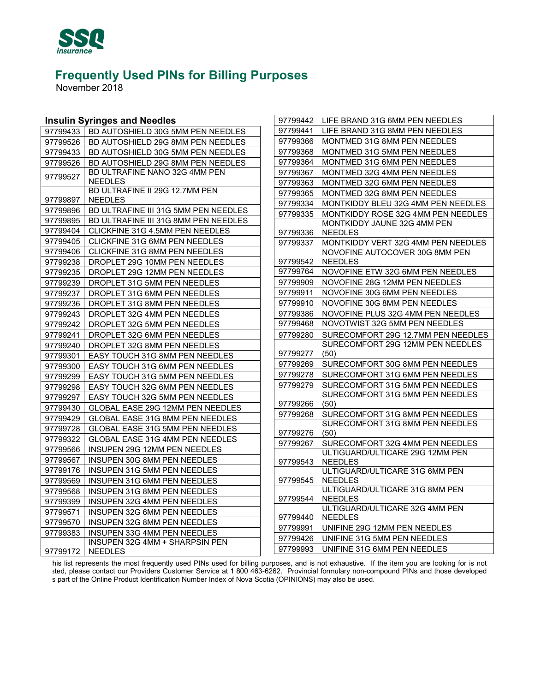

November 2018

#### **Insulin Syringes and Needles**

|          | <b>Insulin Syringes and Needles</b>  | 97799442 | LIFE BRAND 31G 6MM PEN NEEDLES                                     |
|----------|--------------------------------------|----------|--------------------------------------------------------------------|
| 97799433 | BD AUTOSHIELD 30G 5MM PEN NEEDLES    | 97799441 | LIFE BRAND 31G 8MM PEN NEEDLES                                     |
| 97799526 | BD AUTOSHIELD 29G 8MM PEN NEEDLES    | 97799366 | MONTMED 31G 8MM PEN NEEDLES                                        |
| 97799433 | BD AUTOSHIELD 30G 5MM PEN NEEDLES    | 97799368 | MONTMED 31G 5MM PEN NEEDLES                                        |
| 97799526 | BD AUTOSHIELD 29G 8MM PEN NEEDLES    | 97799364 | MONTMED 31G 6MM PEN NEEDLES                                        |
| 97799527 | BD ULTRAFINE NANO 32G 4MM PEN        | 97799367 | MONTMED 32G 4MM PEN NEEDLES                                        |
|          | <b>NEEDLES</b>                       | 97799363 | MONTMED 32G 6MM PEN NEEDLES                                        |
|          | BD ULTRAFINE II 29G 12.7MM PEN       | 97799365 | MONTMED 32G 8MM PEN NEEDLES                                        |
| 97799897 | <b>NEEDLES</b>                       | 97799334 | MONTKIDDY BLEU 32G 4MM PEN NEEDLES                                 |
| 97799896 | BD ULTRAFINE III 31G 5MM PEN NEEDLES | 97799335 | MONTKIDDY ROSE 32G 4MM PEN NEEDLES                                 |
| 97799895 | BD ULTRAFINE III 31G 8MM PEN NEEDLES |          | MONTKIDDY JAUNE 32G 4MM PEN                                        |
| 97799404 | CLICKFINE 31G 4.5MM PEN NEEDLES      | 97799336 | <b>NEEDLES</b>                                                     |
| 97799405 | CLICKFINE 31G 6MM PEN NEEDLES        | 97799337 | MONTKIDDY VERT 32G 4MM PEN NEEDLES                                 |
| 97799406 | CLICKFINE 31G 8MM PEN NEEDLES        |          | NOVOFINE AUTOCOVER 30G 8MM PEN                                     |
| 97799238 | DROPLET 29G 10MM PEN NEEDLES         | 97799542 | <b>NEEDLES</b>                                                     |
| 97799235 | DROPLET 29G 12MM PEN NEEDLES         | 97799764 | NOVOFINE ETW 32G 6MM PEN NEEDLES                                   |
| 97799239 | DROPLET 31G 5MM PEN NEEDLES          | 97799909 | NOVOFINE 28G 12MM PEN NEEDLES                                      |
| 97799237 | DROPLET 31G 6MM PEN NEEDLES          | 97799911 | NOVOFINE 30G 6MM PEN NEEDLES                                       |
| 97799236 | DROPLET 31G 8MM PEN NEEDLES          | 97799910 | NOVOFINE 30G 8MM PEN NEEDLES                                       |
| 97799243 | DROPLET 32G 4MM PEN NEEDLES          | 97799386 | NOVOFINE PLUS 32G 4MM PEN NEEDLES                                  |
| 97799242 | DROPLET 32G 5MM PEN NEEDLES          | 97799468 | NOVOTWIST 32G 5MM PEN NEEDLES                                      |
| 97799241 | DROPLET 32G 6MM PEN NEEDLES          | 97799280 | SURECOMFORT 29G 12.7MM PEN NEEDLES                                 |
| 97799240 | DROPLET 32G 8MM PEN NEEDLES          |          | SURECOMFORT 29G 12MM PEN NEEDLES                                   |
| 97799301 | EASY TOUCH 31G 8MM PEN NEEDLES       | 97799277 | (50)                                                               |
| 97799300 | EASY TOUCH 31G 6MM PEN NEEDLES       | 97799269 | SURECOMFORT 30G 8MM PEN NEEDLES                                    |
| 97799299 | EASY TOUCH 31G 5MM PEN NEEDLES       | 97799278 | SURECOMFORT 31G 6MM PEN NEEDLES                                    |
| 97799298 | EASY TOUCH 32G 6MM PEN NEEDLES       | 97799279 | SURECOMFORT 31G 5MM PEN NEEDLES                                    |
| 97799297 | EASY TOUCH 32G 5MM PEN NEEDLES       |          | SURECOMFORT 31G 5MM PEN NEEDLES                                    |
| 97799430 | GLOBAL EASE 29G 12MM PEN NEEDLES     | 97799266 | (50)                                                               |
| 97799429 | GLOBAL EASE 31G 8MM PEN NEEDLES      | 97799268 | SURECOMFORT 31G 8MM PEN NEEDLES<br>SURECOMFORT 31G 8MM PEN NEEDLES |
| 97799728 | GLOBAL EASE 31G 5MM PEN NEEDLES      | 97799276 | (50)                                                               |
| 97799322 | GLOBAL EASE 31G 4MM PEN NEEDLES      | 97799267 | SURECOMFORT 32G 4MM PEN NEEDLES                                    |
| 97799566 | INSUPEN 29G 12MM PEN NEEDLES         |          | ULTIGUARD/ULTICARE 29G 12MM PEN                                    |
| 97799567 | INSUPEN 30G 8MM PEN NEEDLES          | 97799543 | <b>NEEDLES</b>                                                     |
| 97799176 | INSUPEN 31G 5MM PEN NEEDLES          |          | ULTIGUARD/ULTICARE 31G 6MM PEN                                     |
| 97799569 | INSUPEN 31G 6MM PEN NEEDLES          | 97799545 | <b>NEEDLES</b>                                                     |
| 97799568 | <b>INSUPEN 31G 8MM PEN NEEDLES</b>   |          | ULTIGUARD/ULTICARE 31G 8MM PEN                                     |
| 97799399 | INSUPEN 32G 4MM PEN NEEDLES          | 97799544 | <b>NEEDLES</b>                                                     |
| 97799571 | INSUPEN 32G 6MM PEN NEEDLES          | 97799440 | ULTIGUARD/ULTICARE 32G 4MM PEN<br><b>NEEDLES</b>                   |
| 97799570 | INSUPEN 32G 8MM PEN NEEDLES          | 97799991 | UNIFINE 29G 12MM PEN NEEDLES                                       |
| 97799383 | <b>INSUPEN 33G 4MM PEN NEEDLES</b>   | 97799426 | UNIFINE 31G 5MM PEN NEEDLES                                        |
|          | INSUPEN 32G 4MM + SHARPSIN PEN       | 97799993 | UNIFINE 31G 6MM PEN NEEDLES                                        |
| 97799172 | <b>NEEDLES</b>                       |          |                                                                    |

 $\overline{\phantom{a}}$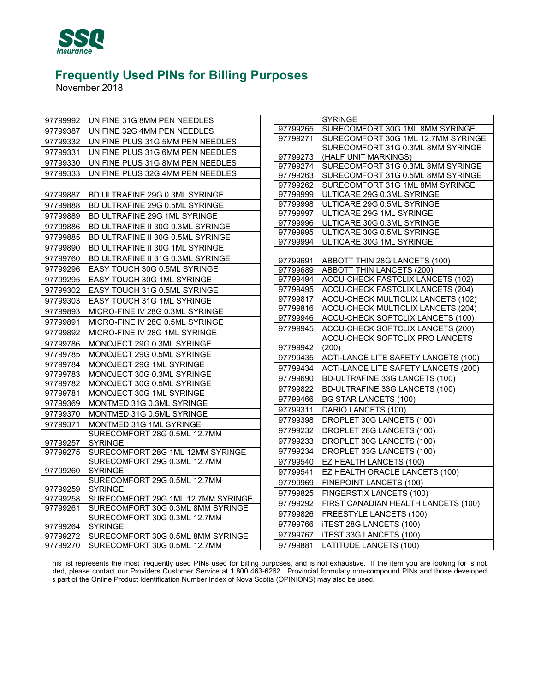

November 2018

| 97799992 | UNIFINE 31G 8MM PEN NEEDLES                    |                      | <b>SYRINGE</b>                                                       |
|----------|------------------------------------------------|----------------------|----------------------------------------------------------------------|
| 97799387 | UNIFINE 32G 4MM PEN NEEDLES                    | 97799265             | SURECOMFORT 30G 1ML 8MM SYRINGE                                      |
| 97799332 | UNIFINE PLUS 31G 5MM PEN NEEDLES               | 97799271             | SURECOMFORT 30G 1ML 12.7MM SYRINGE                                   |
| 97799331 | UNIFINE PLUS 31G 6MM PEN NEEDLES               |                      | SURECOMFORT 31G 0.3ML 8MM SYRINGE                                    |
| 97799330 | UNIFINE PLUS 31G 8MM PEN NEEDLES               | 97799273             | (HALF UNIT MARKINGS)                                                 |
| 97799333 | UNIFINE PLUS 32G 4MM PEN NEEDLES               | 97799274             | SURECOMFORT 31G 0.3ML 8MM SYRINGE                                    |
|          |                                                | 97799263<br>97799262 | SURECOMFORT 31G 0.5ML 8MM SYRINGE<br>SURECOMFORT 31G 1ML 8MM SYRINGE |
| 97799887 | BD ULTRAFINE 29G 0.3ML SYRINGE                 | 97799999             | ULTICARE 29G 0.3ML SYRINGE                                           |
| 97799888 | BD ULTRAFINE 29G 0.5ML SYRINGE                 | 97799998             | ULTICARE 29G 0.5ML SYRINGE                                           |
|          |                                                | 97799997             | ULTICARE 29G 1ML SYRINGE                                             |
| 97799889 | BD ULTRAFINE 29G 1ML SYRINGE                   | 97799996             | ULTICARE 30G 0.3ML SYRINGE                                           |
| 97799886 | BD ULTRAFINE II 30G 0.3ML SYRINGE              | 97799995             | ULTICARE 30G 0.5ML SYRINGE                                           |
| 97799885 | BD ULTRAFINE II 30G 0.5ML SYRINGE              | 97799994             | ULTICARE 30G 1ML SYRINGE                                             |
| 97799890 | BD ULTRAFINE II 30G 1ML SYRINGE                |                      |                                                                      |
| 97799760 | BD ULTRAFINE II 31G 0.3ML SYRINGE              | 97799691             | ABBOTT THIN 28G LANCETS (100)                                        |
| 97799296 | EASY TOUCH 30G 0.5ML SYRINGE                   | 97799689             | <b>ABBOTT THIN LANCETS (200)</b>                                     |
| 97799295 | EASY TOUCH 30G 1ML SYRINGE                     | 97799494             | ACCU-CHECK FASTCLIX LANCETS (102)                                    |
| 97799302 | EASY TOUCH 31G 0.5ML SYRINGE                   | 97799495             | ACCU-CHECK FASTCLIX LANCETS (204)                                    |
| 97799303 | EASY TOUCH 31G 1ML SYRINGE                     | 97799817             | ACCU-CHECK MULTICLIX LANCETS (102)                                   |
| 97799893 | MICRO-FINE IV 28G 0.3ML SYRINGE                | 97799816             | ACCU-CHECK MULTICLIX LANCETS (204)                                   |
| 97799891 | MICRO-FINE IV 28G 0.5ML SYRINGE                | 97799946             | ACCU-CHECK SOFTCLIX LANCETS (100)                                    |
| 97799892 | MICRO-FINE IV 28G 1ML SYRINGE                  | 97799945             | ACCU-CHECK SOFTCLIX LANCETS (200)                                    |
| 97799786 | MONOJECT 29G 0.3ML SYRINGE                     | 97799942             | ACCU-CHECK SOFTCLIX PRO LANCETS<br>(200)                             |
| 97799785 | MONOJECT 29G 0.5ML SYRINGE                     | 97799435             | ACTI-LANCE LITE SAFETY LANCETS (100)                                 |
| 97799784 | MONOJECT 29G 1ML SYRINGE                       | 97799434             | ACTI-LANCE LITE SAFETY LANCETS (200)                                 |
| 97799783 | MONOJECT 30G 0.3ML SYRINGE                     | 97799690             | BD-ULTRAFINE 33G LANCETS (100)                                       |
| 97799782 | MONOJECT 30G 0.5ML SYRINGE                     | 97799822             | BD-ULTRAFINE 33G LANCETS (100)                                       |
| 97799781 | MONOJECT 30G 1ML SYRINGE                       | 97799466             | <b>BG STAR LANCETS (100)</b>                                         |
| 97799369 | MONTMED 31G 0.3ML SYRINGE                      | 97799311             | DARIO LANCETS (100)                                                  |
| 97799370 | MONTMED 31G 0.5ML SYRINGE                      | 97799398             | DROPLET 30G LANCETS (100)                                            |
| 97799371 | MONTMED 31G 1ML SYRINGE                        | 97799232             | DROPLET 28G LANCETS (100)                                            |
| 97799257 | SURECOMFORT 28G 0.5ML 12.7MM<br><b>SYRINGE</b> | 97799233             | DROPLET 30G LANCETS (100)                                            |
| 97799275 | SURECOMFORT 28G 1ML 12MM SYRINGE               | 97799234             | DROPLET 33G LANCETS (100)                                            |
|          | SURECOMFORT 29G 0.3ML 12.7MM                   | 97799540             | EZ HEALTH LANCETS (100)                                              |
| 97799260 | <b>SYRINGE</b>                                 | 97799541             | EZ HEALTH ORACLE LANCETS (100)                                       |
|          | SURECOMFORT 29G 0.5ML 12.7MM                   | 97799969             | FINEPOINT LANCETS (100)                                              |
| 97799259 | <b>SYRINGE</b>                                 | 97799825             | FINGERSTIX LANCETS (100)                                             |
| 97799258 | SURECOMFORT 29G 1ML 12.7MM SYRINGE             | 97799292             | FIRST CANADIAN HEALTH LANCETS (100)                                  |
| 97799261 | SURECOMFORT 30G 0.3ML 8MM SYRINGE              | 97799826             | FREESTYLE LANCETS (100)                                              |
|          | SURECOMFORT 30G 0.3ML 12.7MM                   | 97799766             | <b>iTEST 28G LANCETS (100)</b>                                       |
| 97799264 | <b>SYRINGE</b>                                 |                      |                                                                      |
| 97799272 | SURECOMFORT 30G 0.5ML 8MM SYRINGE              | 97799767             | <b>iTEST 33G LANCETS (100)</b>                                       |
| 97799270 | SURECOMFORT 30G 0.5ML 12.7MM                   | 97799881             | LATITUDE LANCETS (100)                                               |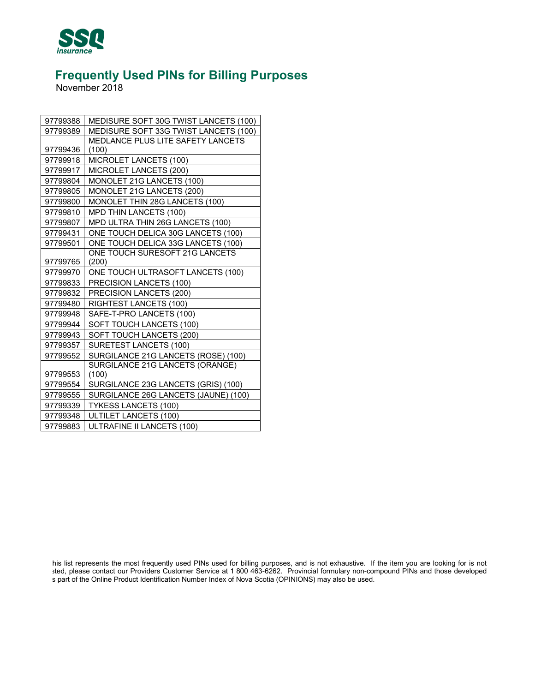

November 2018

| 97799388 | MEDISURE SOFT 30G TWIST LANCETS (100) |
|----------|---------------------------------------|
| 97799389 | MEDISURE SOFT 33G TWIST LANCETS (100) |
|          | MEDLANCE PLUS LITE SAFETY LANCETS     |
| 97799436 | (100)                                 |
| 97799918 | MICROLET LANCETS (100)                |
| 97799917 | MICROLET LANCETS (200)                |
| 97799804 | MONOLET 21G LANCETS (100)             |
| 97799805 | MONOLET 21G LANCETS (200)             |
| 97799800 | MONOLET THIN 28G LANCETS (100)        |
| 97799810 | MPD THIN LANCETS (100)                |
| 97799807 | MPD ULTRA THIN 26G LANCETS (100)      |
| 97799431 | ONE TOUCH DELICA 30G LANCETS (100)    |
| 97799501 | ONE TOUCH DELICA 33G LANCETS (100)    |
|          | ONE TOUCH SURESOFT 21G LANCETS        |
| 97799765 | (200)                                 |
| 97799970 | ONE TOUCH ULTRASOFT LANCETS (100)     |
| 97799833 | PRECISION LANCETS (100)               |
| 97799832 | PRECISION LANCETS (200)               |
| 97799480 | RIGHTEST LANCETS (100)                |
| 97799948 | SAFE-T-PRO LANCETS (100)              |
| 97799944 | SOFT TOUCH LANCETS (100)              |
| 97799943 | SOFT TOUCH LANCETS (200)              |
| 97799357 | SURETEST LANCETS (100)                |
| 97799552 | SURGILANCE 21G LANCETS (ROSE) (100)   |
|          | SURGILANCE 21G LANCETS (ORANGE)       |
| 97799553 | (100)                                 |
| 97799554 | SURGILANCE 23G LANCETS (GRIS) (100)   |
| 97799555 | SURGILANCE 26G LANCETS (JAUNE) (100)  |
| 97799339 | <b>TYKESS LANCETS (100)</b>           |
| 97799348 | <b>ULTILET LANCETS (100)</b>          |
| 97799883 | ULTRAFINE II LANCETS (100)            |